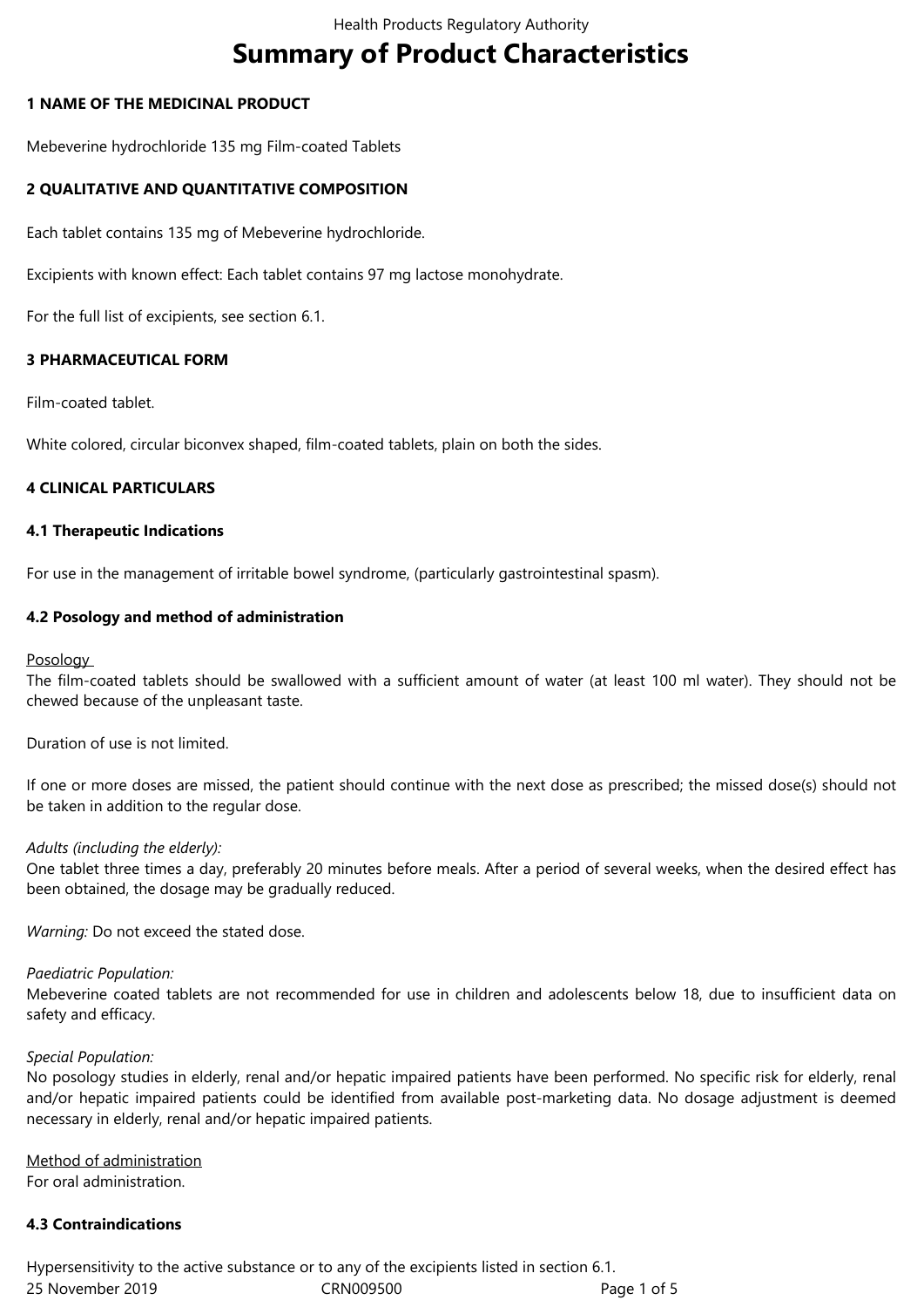# **Summary of Product Characteristics**

# **1 NAME OF THE MEDICINAL PRODUCT**

Mebeverine hydrochloride 135 mg Film-coated Tablets

# **2 QUALITATIVE AND QUANTITATIVE COMPOSITION**

Each tablet contains 135 mg of Mebeverine hydrochloride.

Excipients with known effect: Each tablet contains 97 mg lactose monohydrate.

For the full list of excipients, see section 6.1.

# **3 PHARMACEUTICAL FORM**

Film-coated tablet.

White colored, circular biconvex shaped, film-coated tablets, plain on both the sides.

# **4 CLINICAL PARTICULARS**

#### **4.1 Therapeutic Indications**

For use in the management of irritable bowel syndrome, (particularly gastrointestinal spasm).

# **4.2 Posology and method of administration**

#### Posology

The film-coated tablets should be swallowed with a sufficient amount of water (at least 100 ml water). They should not be chewed because of the unpleasant taste.

Duration of use is not limited.

If one or more doses are missed, the patient should continue with the next dose as prescribed; the missed dose(s) should not be taken in addition to the regular dose.

#### *Adults (including the elderly):*

One tablet three times a day, preferably 20 minutes before meals. After a period of several weeks, when the desired effect has been obtained, the dosage may be gradually reduced.

*Warning:* Do not exceed the stated dose.

#### *Paediatric Population:*

Mebeverine coated tablets are not recommended for use in children and adolescents below 18, due to insufficient data on safety and efficacy.

#### *Special Population:*

No posology studies in elderly, renal and/or hepatic impaired patients have been performed. No specific risk for elderly, renal and/or hepatic impaired patients could be identified from available post-marketing data. No dosage adjustment is deemed necessary in elderly, renal and/or hepatic impaired patients.

Method of administration For oral administration.

# **4.3 Contraindications**

25 November 2019 CRN009500 Page 1 of 5 Hypersensitivity to the active substance or to any of the excipients listed in section 6.1.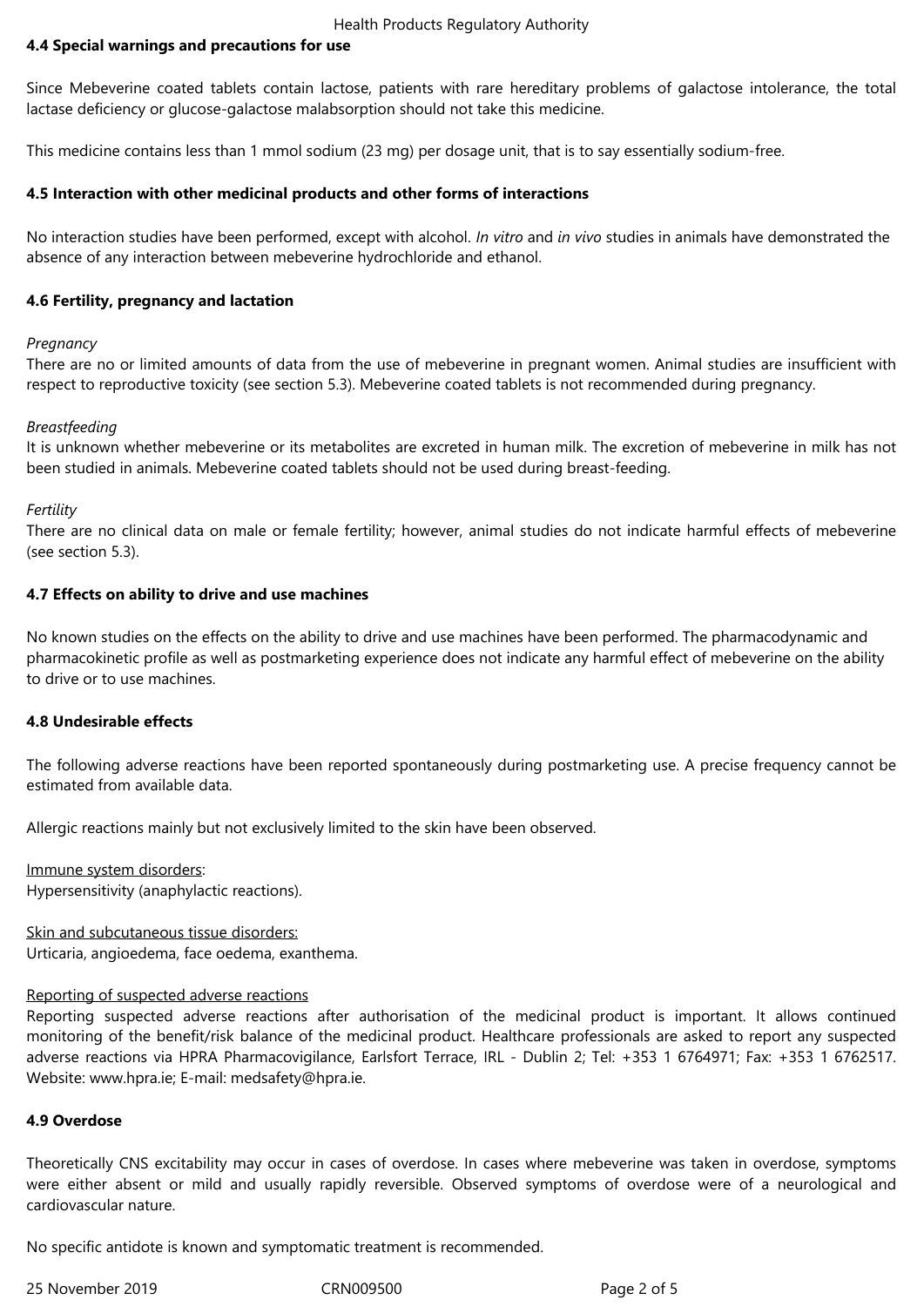#### Health Products Regulatory Authority

#### **4.4 Special warnings and precautions for use**

Since Mebeverine coated tablets contain lactose, patients with rare hereditary problems of galactose intolerance, the total lactase deficiency or glucose-galactose malabsorption should not take this medicine.

This medicine contains less than 1 mmol sodium (23 mg) per dosage unit, that is to say essentially sodium-free.

#### **4.5 Interaction with other medicinal products and other forms of interactions**

No interaction studies have been performed, except with alcohol. *In vitro* and *in vivo* studies in animals have demonstrated the absence of any interaction between mebeverine hydrochloride and ethanol.

#### **4.6 Fertility, pregnancy and lactation**

#### *Pregnancy*

There are no or limited amounts of data from the use of mebeverine in pregnant women. Animal studies are insufficient with respect to reproductive toxicity (see section 5.3). Mebeverine coated tablets is not recommended during pregnancy.

#### *Breastfeeding*

It is unknown whether mebeverine or its metabolites are excreted in human milk. The excretion of mebeverine in milk has not been studied in animals. Mebeverine coated tablets should not be used during breast-feeding.

#### *Fertility*

There are no clinical data on male or female fertility; however, animal studies do not indicate harmful effects of mebeverine (see section 5.3).

#### **4.7 Effects on ability to drive and use machines**

No known studies on the effects on the ability to drive and use machines have been performed. The pharmacodynamic and pharmacokinetic profile as well as postmarketing experience does not indicate any harmful effect of mebeverine on the ability to drive or to use machines.

#### **4.8 Undesirable effects**

The following adverse reactions have been reported spontaneously during postmarketing use. A precise frequency cannot be estimated from available data.

Allergic reactions mainly but not exclusively limited to the skin have been observed.

Immune system disorders: Hypersensitivity (anaphylactic reactions).

Skin and subcutaneous tissue disorders: Urticaria, angioedema, face oedema, exanthema.

#### Reporting of suspected adverse reactions

Reporting suspected adverse reactions after authorisation of the medicinal product is important. It allows continued monitoring of the benefit/risk balance of the medicinal product. Healthcare professionals are asked to report any suspected adverse reactions via HPRA Pharmacovigilance, Earlsfort Terrace, IRL - Dublin 2; Tel: +353 1 6764971; Fax: +353 1 6762517. Website: www.hpra.ie; E-mail: medsafety@hpra.ie.

#### **4.9 Overdose**

Theoretically CNS excitability may occur in cases of overdose. In cases where mebeverine was taken in overdose, symptoms were either absent or mild and usually rapidly reversible. Observed symptoms of overdose were of a neurological and cardiovascular nature.

No specific antidote is known and symptomatic treatment is recommended.

25 November 2019 CRN009500 Page 2 of 5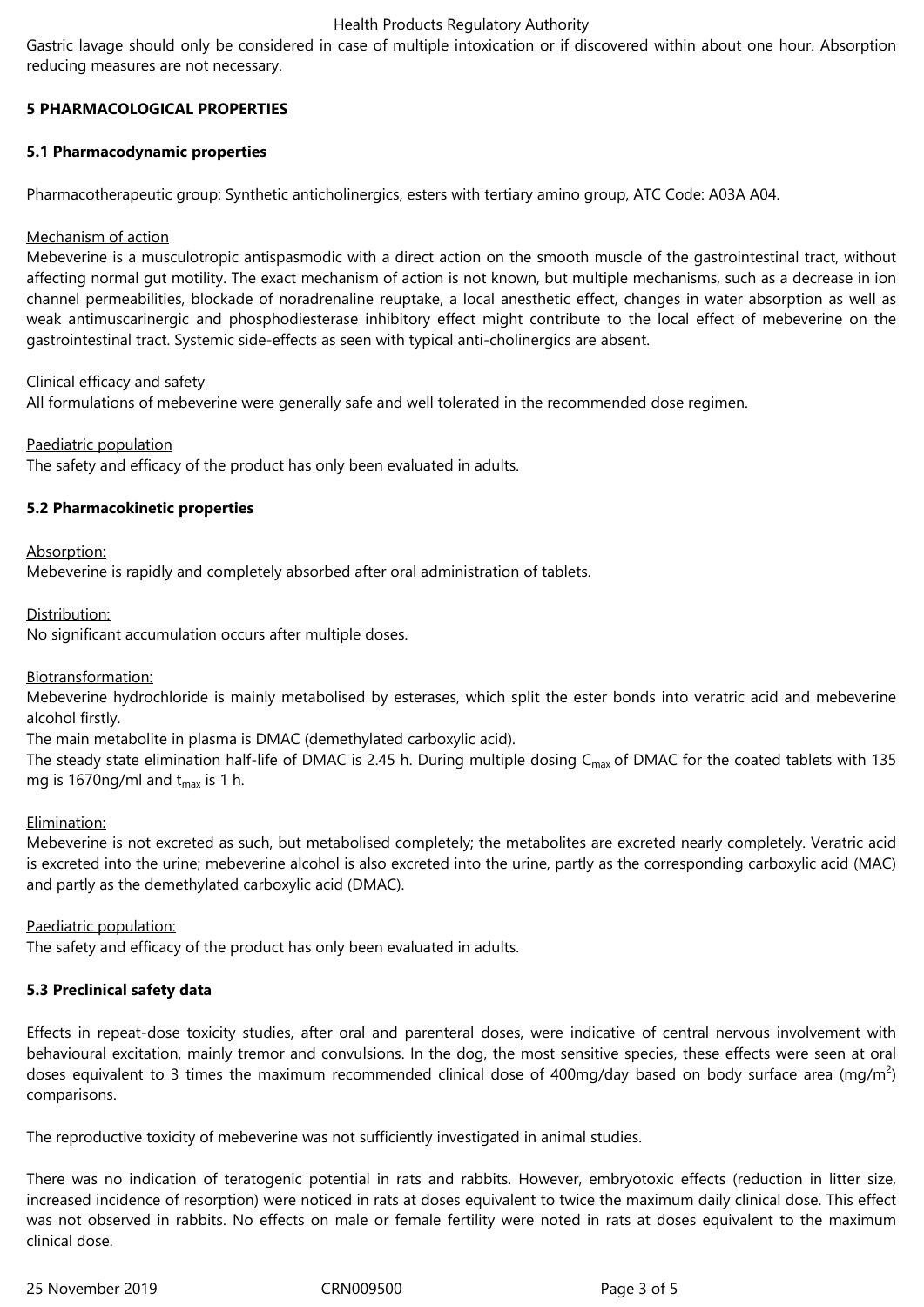#### Health Products Regulatory Authority

Gastric lavage should only be considered in case of multiple intoxication or if discovered within about one hour. Absorption reducing measures are not necessary.

# **5 PHARMACOLOGICAL PROPERTIES**

#### **5.1 Pharmacodynamic properties**

Pharmacotherapeutic group: Synthetic anticholinergics, esters with tertiary amino group, ATC Code: A03A A04.

#### Mechanism of action

Mebeverine is a musculotropic antispasmodic with a direct action on the smooth muscle of the gastrointestinal tract, without affecting normal gut motility. The exact mechanism of action is not known, but multiple mechanisms, such as a decrease in ion channel permeabilities, blockade of noradrenaline reuptake, a local anesthetic effect, changes in water absorption as well as weak antimuscarinergic and phosphodiesterase inhibitory effect might contribute to the local effect of mebeverine on the gastrointestinal tract. Systemic side-effects as seen with typical anti-cholinergics are absent.

#### Clinical efficacy and safety

All formulations of mebeverine were generally safe and well tolerated in the recommended dose regimen.

#### Paediatric population

The safety and efficacy of the product has only been evaluated in adults.

#### **5.2 Pharmacokinetic properties**

Absorption:

Mebeverine is rapidly and completely absorbed after oral administration of tablets.

Distribution:

No significant accumulation occurs after multiple doses.

#### Biotransformation:

Mebeverine hydrochloride is mainly metabolised by esterases, which split the ester bonds into veratric acid and mebeverine alcohol firstly.

The main metabolite in plasma is DMAC (demethylated carboxylic acid).

The steady state elimination half-life of DMAC is 2.45 h. During multiple dosing  $C_{\text{max}}$  of DMAC for the coated tablets with 135 mg is 1670ng/ml and  $t_{\text{max}}$  is 1 h.

#### Elimination:

Mebeverine is not excreted as such, but metabolised completely; the metabolites are excreted nearly completely. Veratric acid is excreted into the urine; mebeverine alcohol is also excreted into the urine, partly as the corresponding carboxylic acid (MAC) and partly as the demethylated carboxylic acid (DMAC).

#### Paediatric population:

The safety and efficacy of the product has only been evaluated in adults.

# **5.3 Preclinical safety data**

Effects in repeat-dose toxicity studies, after oral and parenteral doses, were indicative of central nervous involvement with behavioural excitation, mainly tremor and convulsions. In the dog, the most sensitive species, these effects were seen at oral doses equivalent to 3 times the maximum recommended clinical dose of 400mg/day based on body surface area (mg/m<sup>2</sup>) comparisons.

The reproductive toxicity of mebeverine was not sufficiently investigated in animal studies.

There was no indication of teratogenic potential in rats and rabbits. However, embryotoxic effects (reduction in litter size, increased incidence of resorption) were noticed in rats at doses equivalent to twice the maximum daily clinical dose. This effect was not observed in rabbits. No effects on male or female fertility were noted in rats at doses equivalent to the maximum clinical dose.

25 November 2019 CRN009500 Page 3 of 5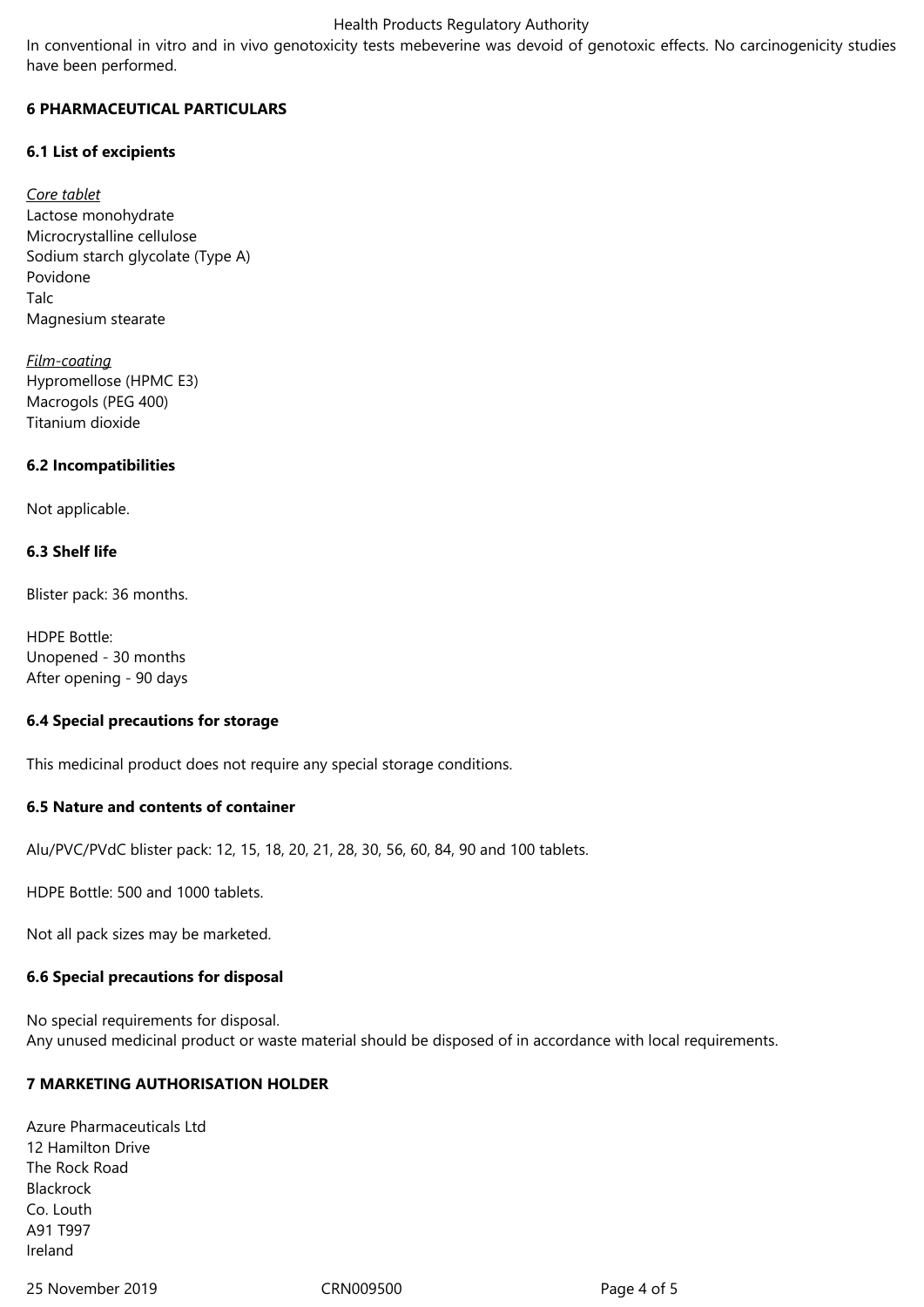#### Health Products Regulatory Authority

In conventional in vitro and in vivo genotoxicity tests mebeverine was devoid of genotoxic effects. No carcinogenicity studies have been performed.

### **6 PHARMACEUTICAL PARTICULARS**

# **6.1 List of excipients**

*Core tablet* Lactose monohydrate Microcrystalline cellulose Sodium starch glycolate (Type A) Povidone Talc Magnesium stearate

*Film-coating* Hypromellose (HPMC E3) Macrogols (PEG 400) Titanium dioxide

# **6.2 Incompatibilities**

Not applicable.

# **6.3 Shelf life**

Blister pack: 36 months.

HDPE Bottle: Unopened - 30 months After opening - 90 days

#### **6.4 Special precautions for storage**

This medicinal product does not require any special storage conditions.

#### **6.5 Nature and contents of container**

Alu/PVC/PVdC blister pack: 12, 15, 18, 20, 21, 28, 30, 56, 60, 84, 90 and 100 tablets.

HDPE Bottle: 500 and 1000 tablets.

Not all pack sizes may be marketed.

#### **6.6 Special precautions for disposal**

No special requirements for disposal. Any unused medicinal product or waste material should be disposed of in accordance with local requirements.

# **7 MARKETING AUTHORISATION HOLDER**

Azure Pharmaceuticals Ltd 12 Hamilton Drive The Rock Road Blackrock Co. Louth A91 T997 Ireland

25 November 2019 CRN009500 Page 4 of 5